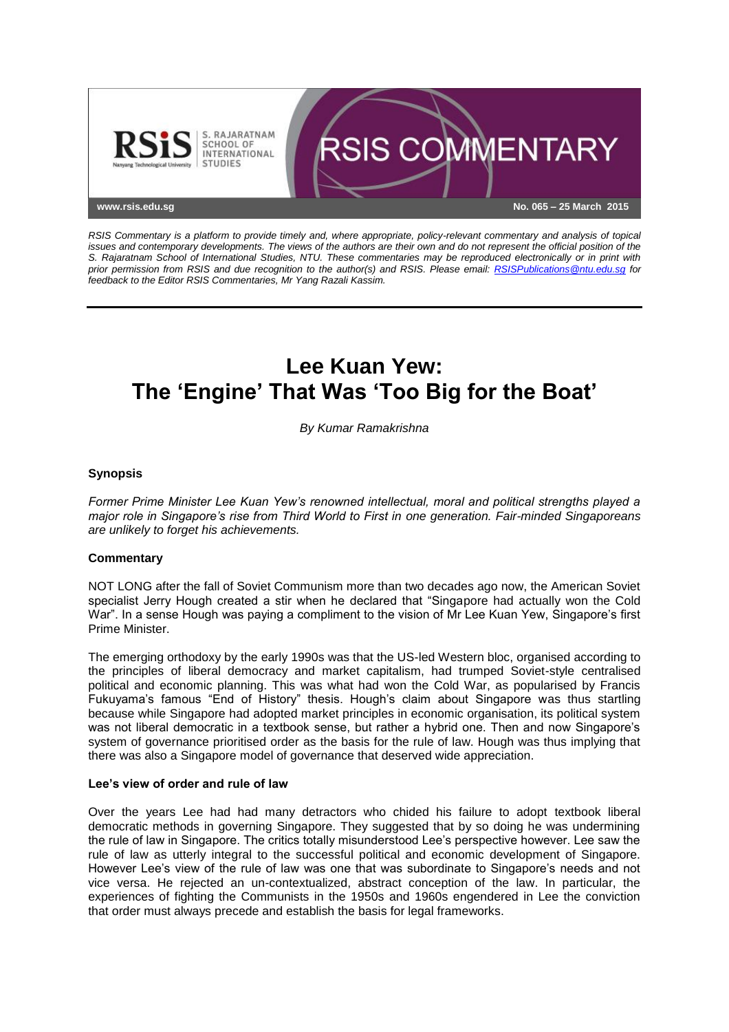

*RSIS Commentary is a platform to provide timely and, where appropriate, policy-relevant commentary and analysis of topical issues and contemporary developments. The views of the authors are their own and do not represent the official position of the S. Rajaratnam School of International Studies, NTU. These commentaries may be reproduced electronically or in print with prior permission from RSIS and due recognition to the author(s) and RSIS. Please email: [RSISPublications@ntu.edu.sg](mailto:RSISPublications@ntu.edu.sg) for feedback to the Editor RSIS Commentaries, Mr Yang Razali Kassim.*

# **Lee Kuan Yew: The 'Engine' That Was 'Too Big for the Boat'**

*By Kumar Ramakrishna*

## **Synopsis**

*Former Prime Minister Lee Kuan Yew's renowned intellectual, moral and political strengths played a major role in Singapore's rise from Third World to First in one generation. Fair-minded Singaporeans are unlikely to forget his achievements.*

### **Commentary**

NOT LONG after the fall of Soviet Communism more than two decades ago now, the American Soviet specialist Jerry Hough created a stir when he declared that "Singapore had actually won the Cold War". In a sense Hough was paying a compliment to the vision of Mr Lee Kuan Yew, Singapore's first Prime Minister.

The emerging orthodoxy by the early 1990s was that the US-led Western bloc, organised according to the principles of liberal democracy and market capitalism, had trumped Soviet-style centralised political and economic planning. This was what had won the Cold War, as popularised by Francis Fukuyama's famous "End of History" thesis. Hough's claim about Singapore was thus startling because while Singapore had adopted market principles in economic organisation, its political system was not liberal democratic in a textbook sense, but rather a hybrid one. Then and now Singapore's system of governance prioritised order as the basis for the rule of law. Hough was thus implying that there was also a Singapore model of governance that deserved wide appreciation.

### **Lee's view of order and rule of law**

Over the years Lee had had many detractors who chided his failure to adopt textbook liberal democratic methods in governing Singapore. They suggested that by so doing he was undermining the rule of law in Singapore. The critics totally misunderstood Lee's perspective however. Lee saw the rule of law as utterly integral to the successful political and economic development of Singapore. However Lee's view of the rule of law was one that was subordinate to Singapore's needs and not vice versa. He rejected an un-contextualized, abstract conception of the law. In particular, the experiences of fighting the Communists in the 1950s and 1960s engendered in Lee the conviction that order must always precede and establish the basis for legal frameworks.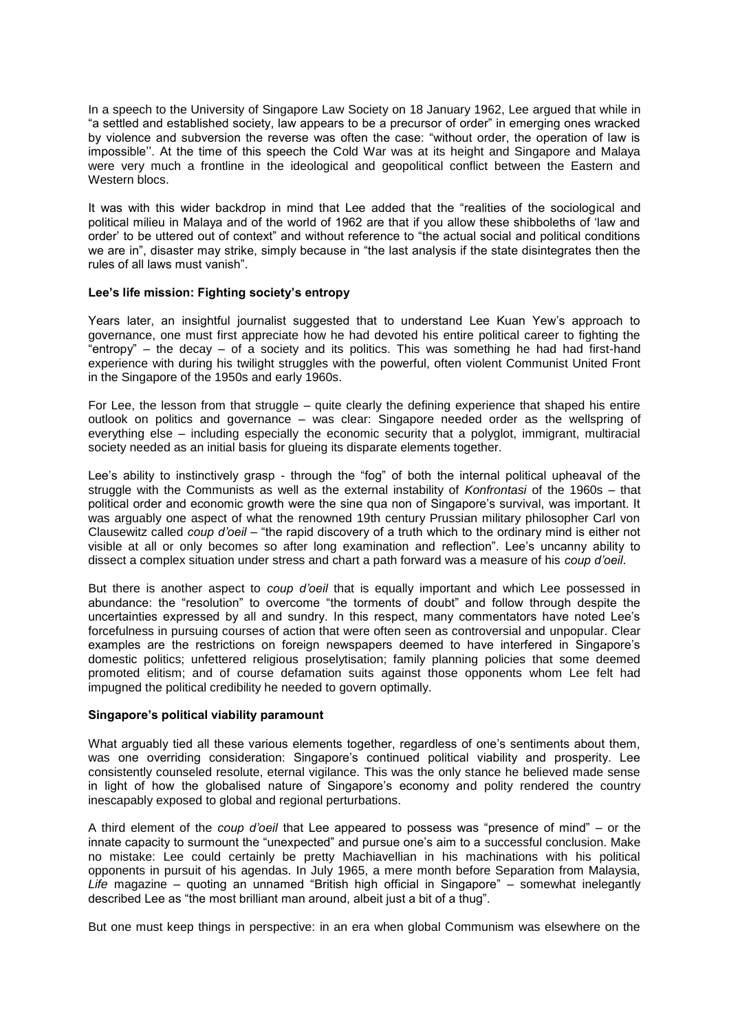In a speech to the University of Singapore Law Society on 18 January 1962, Lee argued that while in "a settled and established society, law appears to be a precursor of order" in emerging ones wracked by violence and subversion the reverse was often the case: "without order, the operation of law is impossible''. At the time of this speech the Cold War was at its height and Singapore and Malaya were very much a frontline in the ideological and geopolitical conflict between the Eastern and Western blocs.

It was with this wider backdrop in mind that Lee added that the "realities of the sociological and political milieu in Malaya and of the world of 1962 are that if you allow these shibboleths of 'law and order' to be uttered out of context" and without reference to "the actual social and political conditions we are in", disaster may strike, simply because in "the last analysis if the state disintegrates then the rules of all laws must vanish".

### **Lee's life mission: Fighting society's entropy**

Years later, an insightful journalist suggested that to understand Lee Kuan Yew's approach to governance, one must first appreciate how he had devoted his entire political career to fighting the "entropy" – the decay – of a society and its politics. This was something he had had first-hand experience with during his twilight struggles with the powerful, often violent Communist United Front in the Singapore of the 1950s and early 1960s.

For Lee, the lesson from that struggle – quite clearly the defining experience that shaped his entire outlook on politics and governance – was clear: Singapore needed order as the wellspring of everything else – including especially the economic security that a polyglot, immigrant, multiracial society needed as an initial basis for glueing its disparate elements together.

Lee's ability to instinctively grasp - through the "fog" of both the internal political upheaval of the struggle with the Communists as well as the external instability of *Konfrontasi* of the 1960s – that political order and economic growth were the sine qua non of Singapore's survival, was important. It was arguably one aspect of what the renowned 19th century Prussian military philosopher Carl von Clausewitz called *coup d'oeil* – "the rapid discovery of a truth which to the ordinary mind is either not visible at all or only becomes so after long examination and reflection". Lee's uncanny ability to dissect a complex situation under stress and chart a path forward was a measure of his *coup d'oeil*.

But there is another aspect to *coup d'oeil* that is equally important and which Lee possessed in abundance: the "resolution" to overcome "the torments of doubt" and follow through despite the uncertainties expressed by all and sundry. In this respect, many commentators have noted Lee's forcefulness in pursuing courses of action that were often seen as controversial and unpopular. Clear examples are the restrictions on foreign newspapers deemed to have interfered in Singapore's domestic politics; unfettered religious proselytisation; family planning policies that some deemed promoted elitism; and of course defamation suits against those opponents whom Lee felt had impugned the political credibility he needed to govern optimally.

#### **Singapore's political viability paramount**

What arguably tied all these various elements together, regardless of one's sentiments about them, was one overriding consideration: Singapore's continued political viability and prosperity. Lee consistently counseled resolute, eternal vigilance. This was the only stance he believed made sense in light of how the globalised nature of Singapore's economy and polity rendered the country inescapably exposed to global and regional perturbations.

A third element of the *coup d'oeil* that Lee appeared to possess was "presence of mind" – or the innate capacity to surmount the "unexpected" and pursue one's aim to a successful conclusion. Make no mistake: Lee could certainly be pretty Machiavellian in his machinations with his political opponents in pursuit of his agendas. In July 1965, a mere month before Separation from Malaysia, *Life* magazine – quoting an unnamed "British high official in Singapore" – somewhat inelegantly described Lee as "the most brilliant man around, albeit just a bit of a thug".

But one must keep things in perspective: in an era when global Communism was elsewhere on the